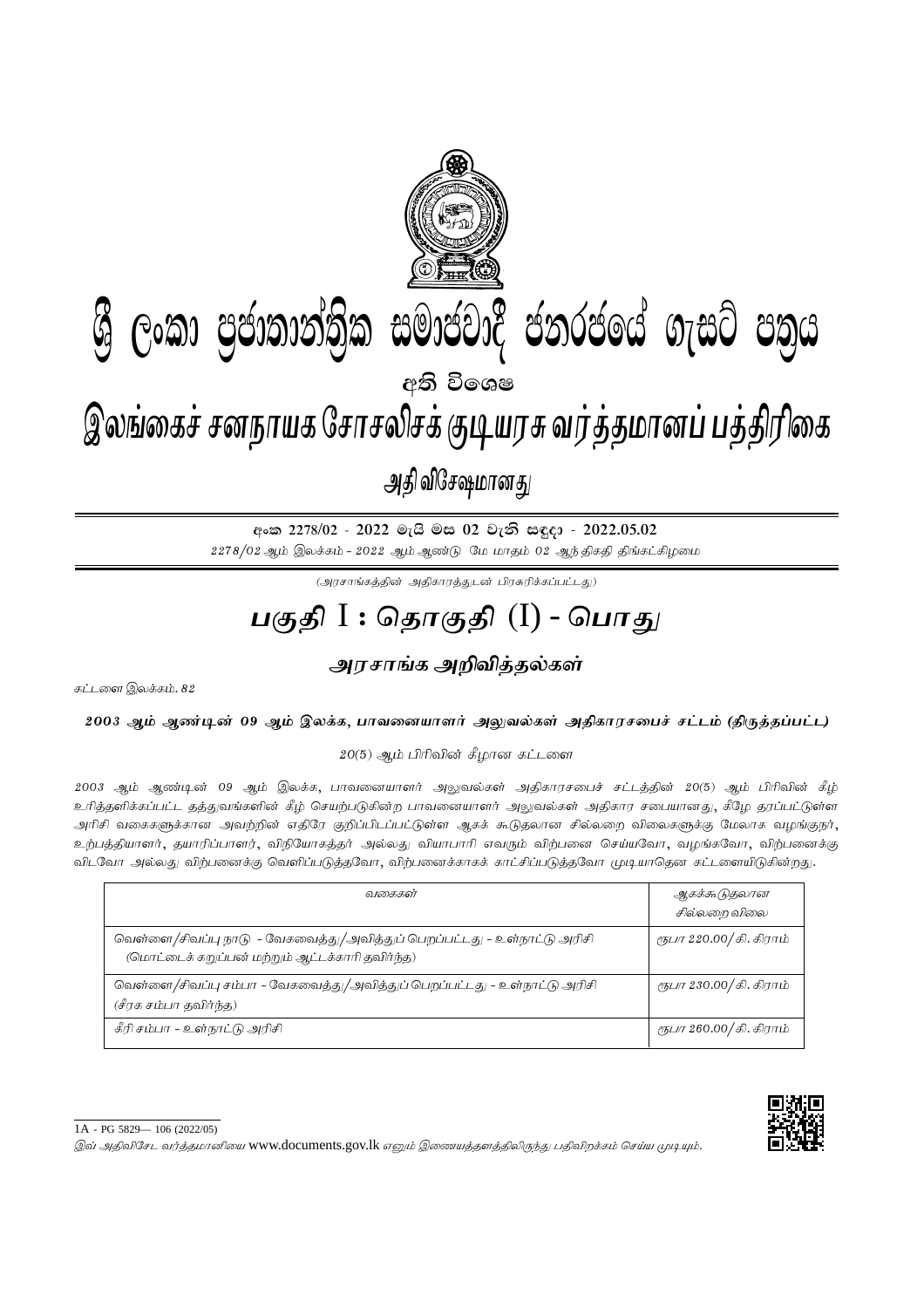

අංක 2278/02 - 2022 මැයි මස 02 වැනි සඳුදා - 2022.05.02  $2278/02$  ஆம் இலக்கம் -  $2022$  ஆம் ஆண்டு மே மாதம் 02 ஆந்திகதி திங்கட்கிழமை

 $(\mathcal{A}$ ரசாங்கத்தின் அதிகாரத்துடன் பிரசுரிக்கப்பட்டது)

## <u>பகுதி</u> I : தொகுதி (I) - பொகு<sub>/</sub>

<u>அரசாங்க அறிவித்த</u>ல்கள்

கட்டளை இலக்கம்.  $82$ 

2003 ஆம் ஆண்டின் 09 ஆம் இலக்க, பாவனையாளர் அலுவல்கள் அதிகாரசபைச் சட்டம் (திருத்தப்பட்ட)

 $20(5)$  ஆம் பிரிவின் கீழான கட்டளை

2003 ஆம் ஆண்டின் 09 ஆம் இலக்க, பாவனையாளர் அலுவல்கள் அதிகாரசபைச் சட்டத்தின் 20(5) ஆம் பிரிவின் கீழ் உரித்தளிக்கப்பட்ட தத்துவங்களின் கீழ் செயற்படுகின்ற பாவனையாளர் அலுவல்கள் அதிகார சபையானது, கீழே தரப்பட்டுள்ள அரிசி வகைகளுக்கான அவற்றின் எதிரே குறிப்பிடப்பட்டுள்ள ஆகக் கூடுதலான சில்லறை விலைகளுக்கு மேலாக வழங்குநர், உற்பத்தியாளர், தயாரிப்பாளர், விநியோகத்தர் அல்லது வியாபாரி எவரும் விற்பனை செய்யவோ, வழங்கவோ, விற்பனைக்கு விடவோ அல்லது விற்பனைக்கு வெளிப்படுத்தவோ, விற்பனைக்காகக் காட்சிப்படுத்தவோ முடியாதென கட்டளையிடுகின்றது.

| வகைகள்                                                                                                                     | ஆகக்கூடுதலான<br>சில்லறை விலை    |
|----------------------------------------------------------------------------------------------------------------------------|---------------------------------|
| வெள்ளை/சிவப்பு நாடு - வேகவைத்து/அவித்துப் பெறப்பட்டது - உள்நாட்டு அரிசி<br>(மொட்டைக் கறுப்பன் மற்றும் ஆட்டக்காரி தவிர்ந்த) | <i>ரூபா 220.00/</i> கி. கிராம்  |
| வெள்ளை/சிவப்பு சம்பா - வேகவைத்து/அவித்துப் பெறப்பட்டது - உள்நாட்டு அரிசி<br>(சீரக சம்பா கவிர்ந்த)                          | <i>ரூபா 230.00/ கி. கிரா</i> ம் |
| கீரி சம்பா – உள்நாட்டு அரிசி                                                                                               | <i>ரூபா 260.00/ கி. கிரா</i> ம் |

இவ் அதிவிசேட வர்த்தமானியை www.documents.gov.lk எனும் இணையத்தளத்திலிருந்து பதிவிறக்கம் செய்ய முடியும்.